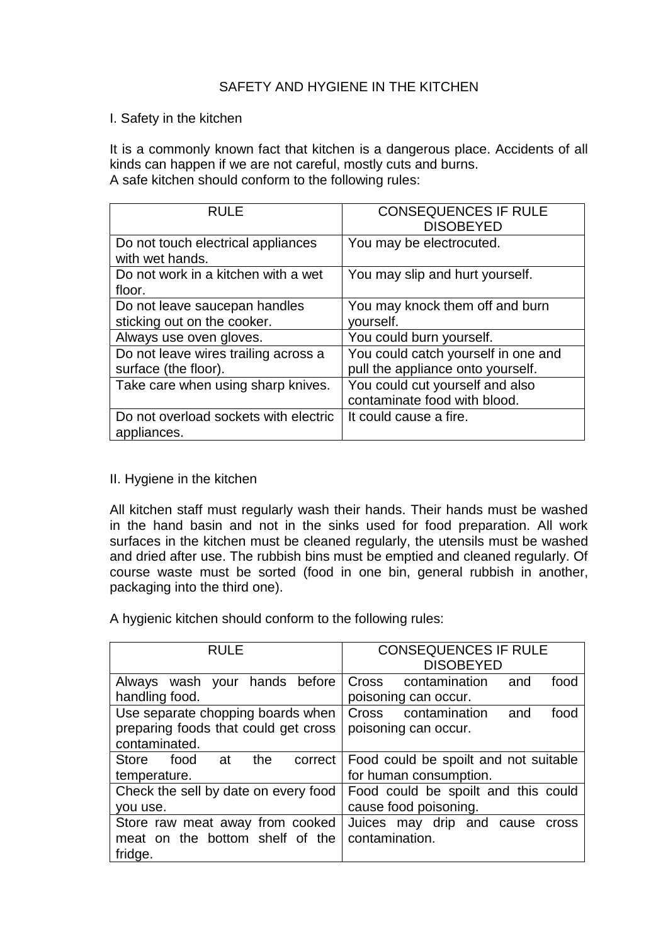# SAFETY AND HYGIENE IN THE KITCHEN

### I. Safety in the kitchen

It is a commonly known fact that kitchen is a dangerous place. Accidents of all kinds can happen if we are not careful, mostly cuts and burns. A safe kitchen should conform to the following rules:

| <b>RULE</b>                           | <b>CONSEQUENCES IF RULE</b>         |  |
|---------------------------------------|-------------------------------------|--|
|                                       | <b>DISOBEYED</b>                    |  |
| Do not touch electrical appliances    | You may be electrocuted.            |  |
| with wet hands.                       |                                     |  |
| Do not work in a kitchen with a wet   | You may slip and hurt yourself.     |  |
| floor.                                |                                     |  |
| Do not leave saucepan handles         | You may knock them off and burn     |  |
| sticking out on the cooker.           | yourself.                           |  |
| Always use oven gloves.               | You could burn yourself.            |  |
| Do not leave wires trailing across a  | You could catch yourself in one and |  |
| surface (the floor).                  | pull the appliance onto yourself.   |  |
| Take care when using sharp knives.    | You could cut yourself and also     |  |
|                                       | contaminate food with blood.        |  |
| Do not overload sockets with electric | It could cause a fire.              |  |
| appliances.                           |                                     |  |

### II. Hygiene in the kitchen

All kitchen staff must regularly wash their hands. Their hands must be washed in the hand basin and not in the sinks used for food preparation. All work surfaces in the kitchen must be cleaned regularly, the utensils must be washed and dried after use. The rubbish bins must be emptied and cleaned regularly. Of course waste must be sorted (food in one bin, general rubbish in another, packaging into the third one).

A hygienic kitchen should conform to the following rules:

| <b>RULE</b>                                                                                | <b>CONSEQUENCES IF RULE</b><br><b>DISOBEYED</b>                 |  |  |
|--------------------------------------------------------------------------------------------|-----------------------------------------------------------------|--|--|
| Always wash your hands before<br>handling food.                                            | contamination<br>Cross<br>food<br>and<br>poisoning can occur.   |  |  |
| Use separate chopping boards when<br>preparing foods that could get cross<br>contaminated. | contamination<br>Cross<br>food<br>and<br>poisoning can occur.   |  |  |
| <b>Store</b><br>food<br>the<br>at<br>correct<br>temperature.                               | Food could be spoilt and not suitable<br>for human consumption. |  |  |
| Check the sell by date on every food<br>you use.                                           | Food could be spoilt and this could<br>cause food poisoning.    |  |  |
| Store raw meat away from cooked<br>meat on the bottom shelf of the<br>fridge.              | Juices may drip and cause<br><b>Cross</b><br>contamination.     |  |  |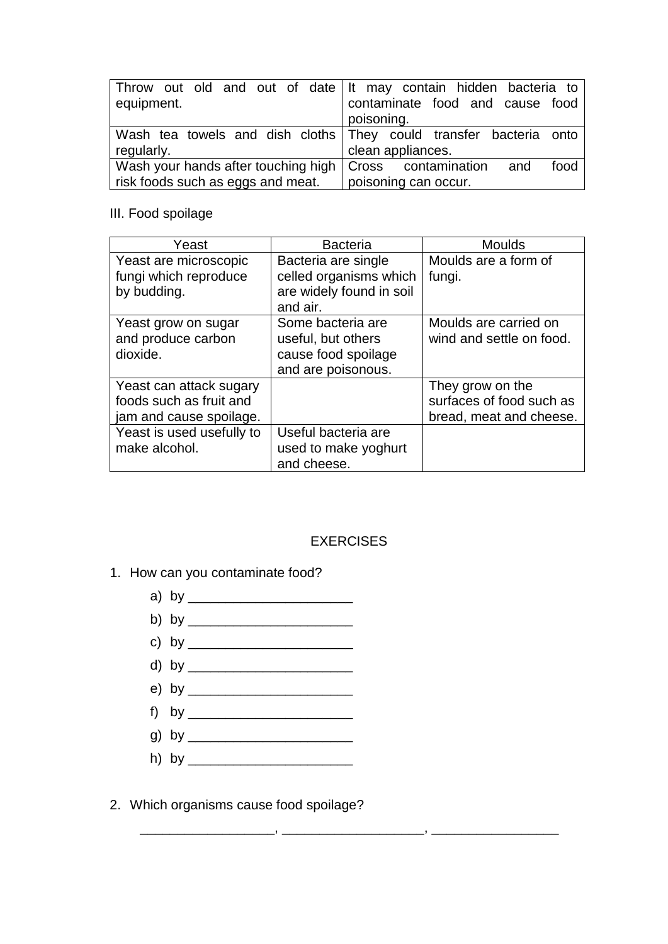| equipment.                                                    | Throw out old and out of date It may contain hidden bacteria to<br>contaminate food and cause food<br>poisoning. |  |
|---------------------------------------------------------------|------------------------------------------------------------------------------------------------------------------|--|
|                                                               | Wash tea towels and dish cloths They could transfer bacteria onto                                                |  |
| regularly.                                                    | clean appliances.                                                                                                |  |
| Wash your hands after touching high   Cross contamination and | food                                                                                                             |  |
| fisk foods such as eggs and meat.                             | poisoning can occur.                                                                                             |  |

## III. Food spoilage

| Yeast                                                                         | <b>Bacteria</b>                                                                      | <b>Moulds</b>                                                           |
|-------------------------------------------------------------------------------|--------------------------------------------------------------------------------------|-------------------------------------------------------------------------|
| Yeast are microscopic<br>fungi which reproduce<br>by budding.                 | Bacteria are single<br>celled organisms which<br>are widely found in soil            | Moulds are a form of<br>fungi.                                          |
|                                                                               | and air.                                                                             |                                                                         |
| Yeast grow on sugar<br>and produce carbon<br>dioxide.                         | Some bacteria are<br>useful, but others<br>cause food spoilage<br>and are poisonous. | Moulds are carried on<br>wind and settle on food.                       |
| Yeast can attack sugary<br>foods such as fruit and<br>jam and cause spoilage. |                                                                                      | They grow on the<br>surfaces of food such as<br>bread, meat and cheese. |
| Yeast is used usefully to<br>make alcohol.                                    | Useful bacteria are<br>used to make yoghurt<br>and cheese.                           |                                                                         |

# EXERCISES

\_\_\_\_\_\_\_\_\_\_\_\_\_\_\_\_\_\_, \_\_\_\_\_\_\_\_\_\_\_\_\_\_\_\_\_\_\_, \_\_\_\_\_\_\_\_\_\_\_\_\_\_\_\_\_

- 1. How can you contaminate food?
	- a) by \_\_\_\_\_\_\_\_\_\_\_\_\_\_\_\_\_\_\_\_\_\_
	- b) by \_\_\_\_\_\_\_\_\_\_\_\_\_\_\_\_\_\_\_\_\_\_
	- c) by \_\_\_\_\_\_\_\_\_\_\_\_\_\_\_\_\_\_\_\_\_\_
	- d) by \_\_\_\_\_\_\_\_\_\_\_\_\_\_\_\_\_\_\_\_\_\_
	- e) by \_\_\_\_\_\_\_\_\_\_\_\_\_\_\_\_\_\_\_\_\_\_
	- f) by \_\_\_\_\_\_\_\_\_\_\_\_\_\_\_\_\_\_\_\_\_\_
	- g) by \_\_\_\_\_\_\_\_\_\_\_\_\_\_\_\_\_\_\_\_\_\_
	- h) by \_\_\_\_\_\_\_\_\_\_\_\_\_\_\_\_\_\_\_\_\_\_
- 2. Which organisms cause food spoilage?